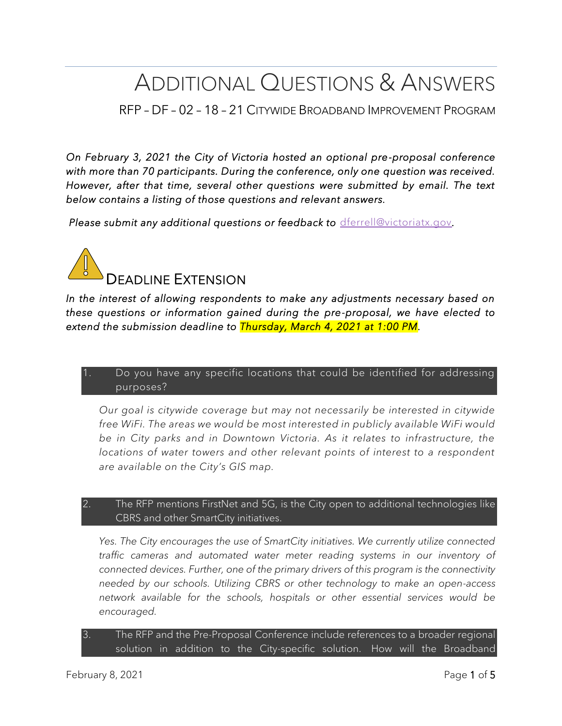# ADDITIONAL QUESTIONS & ANSWERS

RFP – DF – 02 – 18 – 21 CITYWIDE BROADBAND IMPROVEMENT PROGRAM

*On February 3, 2021 the City of Victoria hosted an optional pre-proposal conference with more than 70 participants. During the conference, only one question was received. However, after that time, several other questions were submitted by email. The text below contains a listing of those questions and relevant answers.* 

*Please submit any additional questions or feedback to [dferrell@victoriatx.gov](mailto:dferrell@victoriatx.gov).* 



*In the interest of allowing respondents to make any adjustments necessary based on these questions or information gained during the pre-proposal, we have elected to extend the submission deadline to Thursday, March 4, 2021 at 1:00 PM.* 

1. Do you have any specific locations that could be identified for addressing purposes?

*Our goal is citywide coverage but may not necessarily be interested in citywide free WiFi. The areas we would be most interested in publicly available WiFi would be in City parks and in Downtown Victoria. As it relates to infrastructure, the locations of water towers and other relevant points of interest to a respondent are available on the City's GIS map.* 

2. The RFP mentions FirstNet and 5G, is the City open to additional technologies like CBRS and other SmartCity initiatives.

*Yes. The City encourages the use of SmartCity initiatives. We currently utilize connected traffic cameras and automated water meter reading systems in our inventory of connected devices. Further, one of the primary drivers of this program is the connectivity needed by our schools. Utilizing CBRS or other technology to make an open-access network available for the schools, hospitals or other essential services would be encouraged.* 

3. The RFP and the Pre-Proposal Conference include references to a broader regional solution in addition to the City-specific solution. How will the Broadband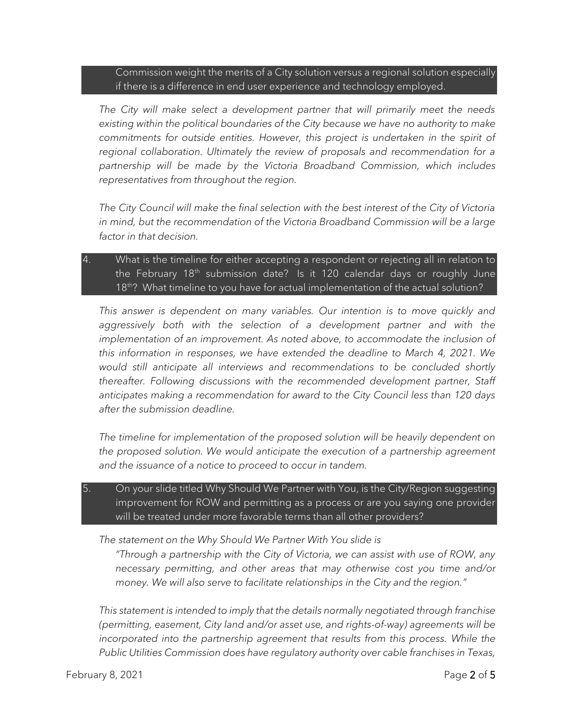Commission weight the merits of a City solution versus a regional solution especially if there is a difference in end user experience and technology employed.

*The City will make select a development partner that will primarily meet the needs existing within the political boundaries of the City because we have no authority to make*  commitments for outside entities. However, this project is undertaken in the spirit of *regional collaboration. Ultimately the review of proposals and recommendation for a partnership will be made by the Victoria Broadband Commission, which includes representatives from throughout the region.* 

*The City Council will make the final selection with the best interest of the City of Victoria in mind, but the recommendation of the Victoria Broadband Commission will be a large factor in that decision.*

4. What is the timeline for either accepting a respondent or rejecting all in relation to the February 18<sup>th</sup> submission date? Is it 120 calendar days or roughly June 18<sup>th</sup>? What timeline to you have for actual implementation of the actual solution?

*This answer is dependent on many variables. Our intention is to move quickly and* aggressively both with the selection of a development partner and with the implementation of an improvement. As noted above, to accommodate the inclusion of *this information in responses, we have extended the deadline to March 4, 2021. We would still anticipate all interviews and recommendations to be concluded shortly thereafter. Following discussions with the recommended development partner, Staff anticipates making a recommendation for award to the City Council less than 120 days after the submission deadline.* 

*The timeline for implementation of the proposed solution will be heavily dependent on the proposed solution. We would anticipate the execution of a partnership agreement and the issuance of a notice to proceed to occur in tandem.*

5. On your slide titled Why Should We Partner with You, is the City/Region suggesting improvement for ROW and permitting as a process or are you saying one provider will be treated under more favorable terms than all other providers?

*The statement on the Why Should We Partner With You slide is* 

*"Through a partnership with the City of Victoria, we can assist with use of ROW, any necessary permitting, and other areas that may otherwise cost you time and/or money. We will also serve to facilitate relationships in the City and the region."*

*This statement is intended to imply that the details normally negotiated through franchise (permitting, easement, City land and/or asset use, and rights-of-way) agreements will be incorporated into the partnership agreement that results from this process. While the Public Utilities Commission does have regulatory authority over cable franchises in Texas,*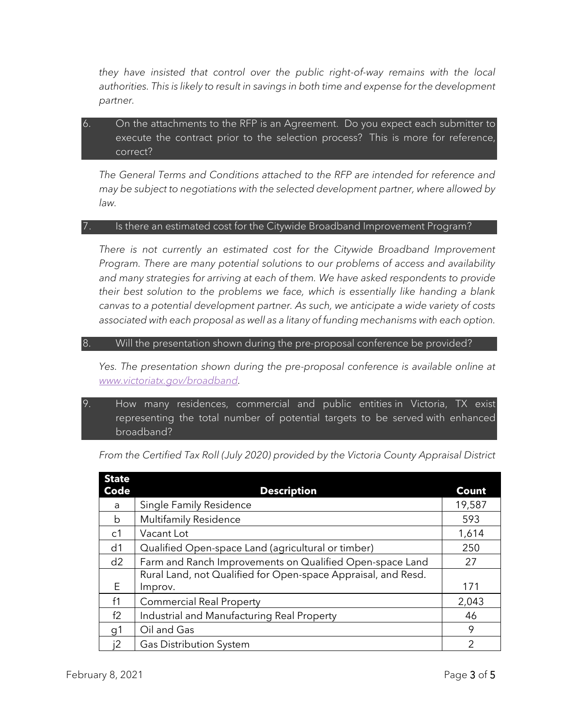*they have insisted that control over the public right-of-way remains with the local authorities. This is likely to result in savings in both time and expense for the development partner.*

## 6. On the attachments to the RFP is an Agreement. Do you expect each submitter to execute the contract prior to the selection process? This is more for reference, correct?

*The General Terms and Conditions attached to the RFP are intended for reference and may be subject to negotiations with the selected development partner, where allowed by law.* 

#### 7. Is there an estimated cost for the Citywide Broadband Improvement Program?

*There is not currently an estimated cost for the Citywide Broadband Improvement Program. There are many potential solutions to our problems of access and availability and many strategies for arriving at each of them. We have asked respondents to provide their best solution to the problems we face, which is essentially like handing a blank canvas to a potential development partner. As such, we anticipate a wide variety of costs associated with each proposal as well as a litany of funding mechanisms with each option.* 

#### Will the presentation shown during the pre-proposal conference be provided?

Yes. The presentation shown during the pre-proposal conference is available online at *[www.victoriatx.gov/broadband.](http://www.victoriatx.gov/broadband)* 

9. How many residences, commercial and public entities in Victoria, TX exist representing the total number of potential targets to be served with enhanced broadband?

| <b>State</b><br>Code | <b>Description</b>                                            | <b>Count</b>  |
|----------------------|---------------------------------------------------------------|---------------|
| a                    | <b>Single Family Residence</b>                                | 19,587        |
| b                    | <b>Multifamily Residence</b>                                  | 593           |
| c1                   | Vacant Lot                                                    | 1,614         |
| d <sub>1</sub>       | Qualified Open-space Land (agricultural or timber)            | 250           |
| d2                   | Farm and Ranch Improvements on Qualified Open-space Land      | 27            |
|                      | Rural Land, not Qualified for Open-space Appraisal, and Resd. |               |
| E                    | Improv.                                                       | 171           |
| f <sub>1</sub>       | <b>Commercial Real Property</b>                               | 2,043         |
| f2                   | Industrial and Manufacturing Real Property                    | 46            |
| g1                   | Oil and Gas                                                   | 9             |
|                      | <b>Gas Distribution System</b>                                | $\mathcal{P}$ |

*From the Certified Tax Roll (July 2020) provided by the Victoria County Appraisal District*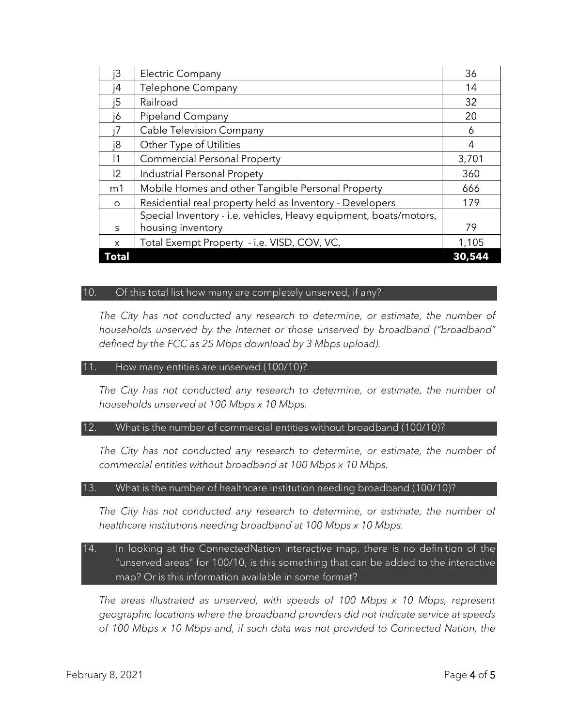| іЗ             | <b>Electric Company</b>                                           | 36     |
|----------------|-------------------------------------------------------------------|--------|
| i4             | Telephone Company                                                 | 14     |
| i5             | Railroad                                                          | 32     |
| i6             | <b>Pipeland Company</b>                                           | 20     |
| i7             | <b>Cable Television Company</b>                                   | 6      |
| i8             | Other Type of Utilities                                           | 4      |
| 11             | <b>Commercial Personal Property</b>                               | 3,701  |
| 2              | Industrial Personal Propety                                       | 360    |
| m <sub>1</sub> | Mobile Homes and other Tangible Personal Property                 | 666    |
| $\circ$        | Residential real property held as Inventory - Developers          | 179    |
|                | Special Inventory - i.e. vehicles, Heavy equipment, boats/motors, |        |
| S              | housing inventory                                                 | 79     |
| $\times$       | Total Exempt Property - i.e. VISD, COV, VC,                       | 1,105  |
| Total          |                                                                   | 30.544 |

#### 10. Of this total list how many are completely unserved, if any?

The City has not conducted any research to determine, or estimate, the number of *households unserved by the Internet or those unserved by broadband ("broadband" defined by the FCC as 25 Mbps download by 3 Mbps upload).*

#### 11. How many entities are unserved (100/10)?

The City has not conducted any research to determine, or estimate, the number of *households unserved at 100 Mbps x 10 Mbps.*

#### 12. What is the number of commercial entities without broadband (100/10)?

The City has not conducted any research to determine, or estimate, the number of *commercial entities without broadband at 100 Mbps x 10 Mbps.*

#### 13. What is the number of healthcare institution needing broadband (100/10)?

The City has not conducted any research to determine, or estimate, the number of *healthcare institutions needing broadband at 100 Mbps x 10 Mbps.*

## 14. In looking at the ConnectedNation interactive map, there is no definition of the "unserved areas" for 100/10, is this something that can be added to the interactive map? Or is this information available in some format?

*The areas illustrated as unserved, with speeds of 100 Mbps x 10 Mbps, represent geographic locations where the broadband providers did not indicate service at speeds of 100 Mbps x 10 Mbps and, if such data was not provided to Connected Nation, the*